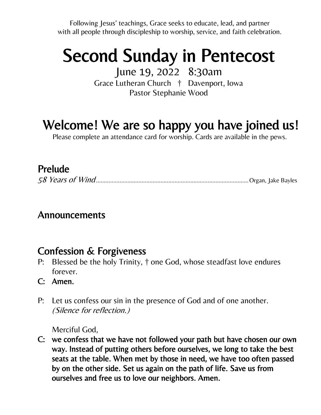Following Jesus' teachings, Grace seeks to educate, lead, and partner with all people through discipleship to worship, service, and faith celebration.

# Second Sunday in Pentecost

June 19, 2022 8:30am Grace Lutheran Church † Davenport, Iowa Pastor Stephanie Wood

## Welcome! We are so happy you have joined us!

Please complete an attendance card for worship. Cards are available in the pews.

### Prelude

|--|--|

#### Announcements

### Confession & Forgiveness

- P: Blessed be the holy Trinity, † one God, whose steadfast love endures forever.
- C: Amen.
- P: Let us confess our sin in the presence of God and of one another. (Silence for reflection.)

Merciful God,

C: we confess that we have not followed your path but have chosen our own way. Instead of putting others before ourselves, we long to take the best seats at the table. When met by those in need, we have too often passed by on the other side. Set us again on the path of life. Save us from ourselves and free us to love our neighbors. Amen.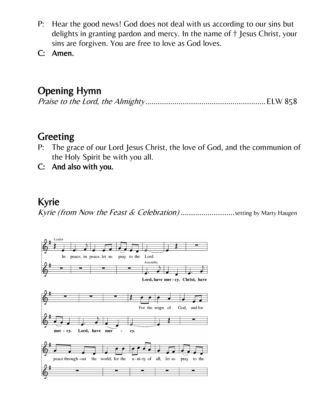- P: Hear the good news! God does not deal with us according to our sins but delights in granting pardon and mercy. In the name of † Jesus Christ, your sins are forgiven. You are free to love as God loves.
- C: Amen.

## Opening Hymn

#### Greeting

- P: The grace of our Lord Jesus Christ, the love of God, and the communion of the Holy Spirit be with you all.
- C: And also with you.

#### Kyrie

Kyrie (from Now the Feast & Celebration)............................setting by Marty Haugen

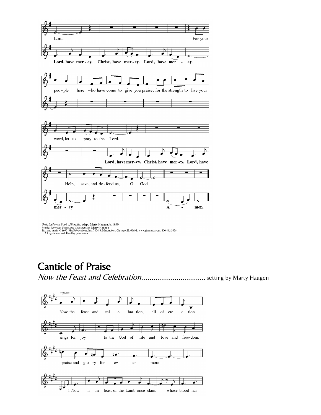

Text: Lutheran Book ofWorship, adapt. Marty Haugen, b. 1950<br>Music: Now the Feast and Celebration, Marty Haugen<br>Text and music © 1990 GIA Publications, Inc. 7404 S. Mason Ave., Chicago, IL 60638. www.giamusic.com. 800.442.3

### Canticle of Praise

Now the Feast and Celebration.................................. setting by Marty Haugen

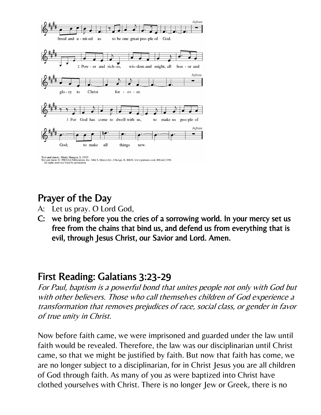

## Prayer of the Day

- A: Let us pray. O Lord God,
- C: we bring before you the cries of a sorrowing world. In your mercy set us free from the chains that bind us, and defend us from everything that is evil, through Jesus Christ, our Savior and Lord. Amen.

#### First Reading: Galatians 3:23-29

For Paul, baptism is a powerful bond that unites people not only with God but with other believers. Those who call themselves children of God experience a transformation that removes prejudices of race, social class, or gender in favor of true unity in Christ.

Now before faith came, we were imprisoned and guarded under the law until faith would be revealed. Therefore, the law was our disciplinarian until Christ came, so that we might be justified by faith. But now that faith has come, we are no longer subject to a disciplinarian, for in Christ Jesus you are all children of God through faith. As many of you as were baptized into Christ have clothed yourselves with Christ. There is no longer Jew or Greek, there is no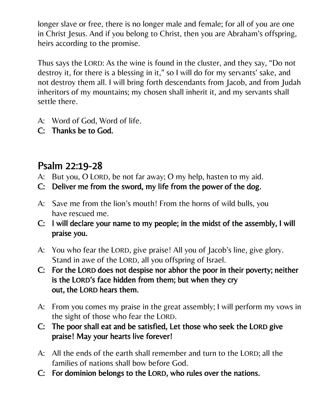longer slave or free, there is no longer male and female; for all of you are one in Christ Jesus. And if you belong to Christ, then you are Abraham's offspring, heirs according to the promise.

Thus says the LORD: As the wine is found in the cluster, and they say, "Do not destroy it, for there is a blessing in it," so I will do for my servants' sake, and not destroy them all. I will bring forth descendants from Jacob, and from Judah inheritors of my mountains; my chosen shall inherit it, and my servants shall settle there.

- A: Word of God, Word of life.
- C: Thanks be to God.

## Psalm 22:19-28

- A: But you, O LORD, be not far away; O my help, hasten to my aid.
- C: Deliver me from the sword, my life from the power of the dog.
- A: Save me from the lion's mouth! From the horns of wild bulls, you have rescued me.
- C: I will declare your name to my people; in the midst of the assembly, I will praise you.
- A: You who fear the LORD, give praise! All you of Jacob's line, give glory. Stand in awe of the LORD, all you offspring of Israel.
- C: For the LORD does not despise nor abhor the poor in their poverty; neither is the LORD's face hidden from them; but when they cry out, the LORD hears them.
- A: From you comes my praise in the great assembly; I will perform my vows in the sight of those who fear the LORD.
- C: The poor shall eat and be satisfied, Let those who seek the LORD give praise! May your hearts live forever!
- A: All the ends of the earth shall remember and turn to the LORD; all the families of nations shall bow before God.
- C: For dominion belongs to the LORD, who rules over the nations.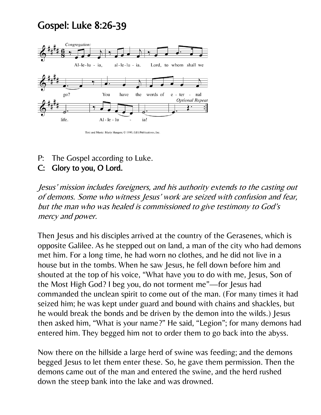## Gospel: Luke 8:26-39



Text and Music: Marty Haugen; C 1990, GIA Publications, Inc

P: The Gospel according to Luke.

#### C: Glory to you, O Lord.

Jesus' mission includes foreigners, and his authority extends to the casting out of demons. Some who witness Jesus' work are seized with confusion and fear, but the man who was healed is commissioned to give testimony to God's mercy and power.

Then Jesus and his disciples arrived at the country of the Gerasenes, which is opposite Galilee. As he stepped out on land, a man of the city who had demons met him. For a long time, he had worn no clothes, and he did not live in a house but in the tombs. When he saw Jesus, he fell down before him and shouted at the top of his voice, "What have you to do with me, Jesus, Son of the Most High God? I beg you, do not torment me"—for Jesus had commanded the unclean spirit to come out of the man. (For many times it had seized him; he was kept under guard and bound with chains and shackles, but he would break the bonds and be driven by the demon into the wilds.) Jesus then asked him, "What is your name?" He said, "Legion"; for many demons had entered him. They begged him not to order them to go back into the abyss.

Now there on the hillside a large herd of swine was feeding; and the demons begged Jesus to let them enter these. So, he gave them permission. Then the demons came out of the man and entered the swine, and the herd rushed down the steep bank into the lake and was drowned.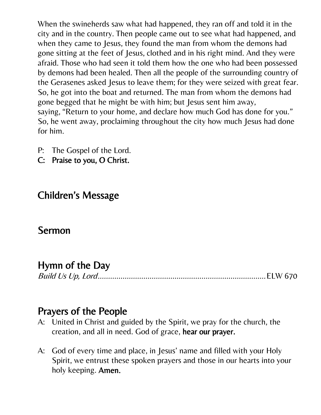When the swineherds saw what had happened, they ran off and told it in the city and in the country. Then people came out to see what had happened, and when they came to Jesus, they found the man from whom the demons had gone sitting at the feet of Jesus, clothed and in his right mind. And they were afraid. Those who had seen it told them how the one who had been possessed by demons had been healed. Then all the people of the surrounding country of the Gerasenes asked Jesus to leave them; for they were seized with great fear. So, he got into the boat and returned. The man from whom the demons had gone begged that he might be with him; but Jesus sent him away, saying, "Return to your home, and declare how much God has done for you." So, he went away, proclaiming throughout the city how much Jesus had done for him.

- P: The Gospel of the Lord.
- C: Praise to you, O Christ.

## Children's Message

#### Sermon

## Hymn of the Day

Build Us Up, Lord.................................................................................ELW 670

#### Prayers of the People

- A: United in Christ and guided by the Spirit, we pray for the church, the creation, and all in need. God of grace, hear our prayer.
- A: God of every time and place, in Jesus' name and filled with your Holy Spirit, we entrust these spoken prayers and those in our hearts into your holy keeping. Amen.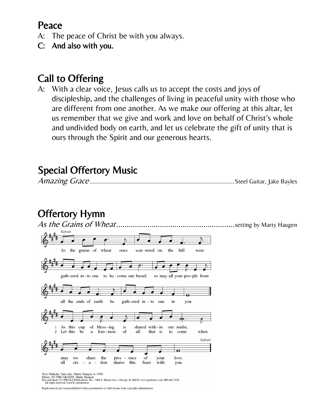### Peace

- A: The peace of Christ be with you always.
- C: And also with you.

## Call to Offering

A: With a clear voice, Jesus calls us to accept the costs and joys of discipleship, and the challenges of living in peaceful unity with those who are different from one another. As we make our offering at this altar, let us remember that we give and work and love on behalf of Christ's whole and undivided body on earth, and let us celebrate the gift of unity that is ours through the Spirit and our generous hearts.

## Special Offertory Music

|--|--|--|--|



Text: Didache, 2nd cent.; Marty Haugen, b. 1950<br>Music: AS THE GRAINS, Marty Haugen<br>Text and music © 1990 GIA Publications, Inc., 7404 S. Mason Ave., Chicago, IL 60638. www.giamusic.com. 800.442.3358.<br>All rights reserved. U

Duplication in any form prohibited without permission or valid license from copyright administrator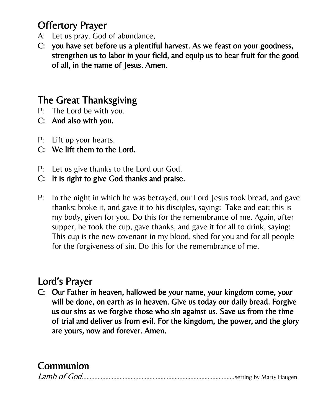## Offertory Prayer

- A: Let us pray. God of abundance,
- C: you have set before us a plentiful harvest. As we feast on your goodness, strengthen us to labor in your field, and equip us to bear fruit for the good of all, in the name of Jesus. Amen.

## The Great Thanksgiving

- P: The Lord be with you.
- C: And also with you.
- P: Lift up your hearts.
- C: We lift them to the Lord.
- P: Let us give thanks to the Lord our God.
- C: It is right to give God thanks and praise.
- P: In the night in which he was betrayed, our Lord Jesus took bread, and gave thanks; broke it, and gave it to his disciples, saying: Take and eat; this is my body, given for you. Do this for the remembrance of me. Again, after supper, he took the cup, gave thanks, and gave it for all to drink, saying: This cup is the new covenant in my blood, shed for you and for all people for the forgiveness of sin. Do this for the remembrance of me.

## Lord's Prayer

C: Our Father in heaven, hallowed be your name, your kingdom come, your will be done, on earth as in heaven. Give us today our daily bread. Forgive us our sins as we forgive those who sin against us. Save us from the time of trial and deliver us from evil. For the kingdom, the power, and the glory are yours, now and forever. Amen.

## Communion

|--|--|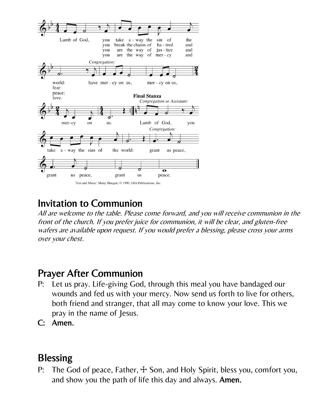

### Invitation to Communion

All are welcome to the table. Please come forward, and you will receive communion in the front of the church. If you prefer juice for communion, it will be clear, and gluten-free wafers are available upon request. If you would prefer a blessing, please cross your arms over your chest.

### Prayer After Communion

- P: Let us pray. Life-giving God, through this meal you have bandaged our wounds and fed us with your mercy. Now send us forth to live for others, both friend and stranger, that all may come to know your love. This we pray in the name of Jesus.
- C: Amen.

## **Blessing**

P: The God of peace, Father,  $\pm$  Son, and Holy Spirit, bless you, comfort you, and show you the path of life this day and always. Amen.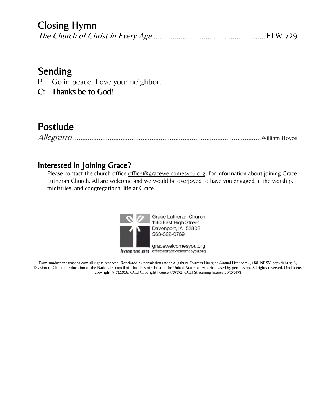### Closing Hymn

|--|--|

### Sending

- P: Go in peace. Love your neighbor.
- C: Thanks be to God!

## Postlude

|--|--|

#### Interested in Joining Grace?

Please contact the church office [office@gracewelcomesyou.org,](mailto:office@gracewelcomesyou.org) for information about joining Grace Lutheran Church. All are welcome and we would be overjoyed to have you engaged in the worship, ministries, and congregational life at Grace.



Grace Lutheran Church 1140 East High Street Davenport, IA 52803 563-322-0769

gracewelcomesyou.org living the gift office@gracewelcomesyou.org

From sundaysandseasons.com all rights reserved. Reprinted by permission under Augsburg Fortress Liturgies Annual License #23188. NRSV, copyright 1989, Division of Christian Education of the National Council of Churches of Christ in the United States of America. Used by permission. All rights reserved. OneLicense copyright A-711016. CCLI Copyright license 359372. CCLI Streaming license 20503478.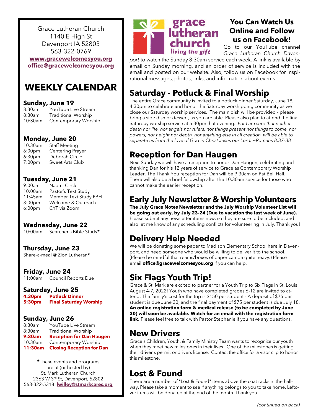Grace Lutheran Church 1140 E High St Davenport IA 52803 563-322-0769

**[www.gracewelcomesyou.org](http://www.gracewelcomesyou.org) [office@gracewelcomesyou.org](mailto:office@gracewelcomesyou.org)**

#### **WEEKLY CALENDAR**

#### **Sunday, June 19**

8:30am YouTube Live Stream 8:30am Traditional Worship 10:30am Contemporary Worship

#### **Monday, June 20**

10:30am Staff Meeting 6:00pm Centering Prayer 6:30pm Deborah Circle 7:00pm Sweet Arts Club

#### **Tuesday, June 21**

9:00am Naomi Circle 10:00am Pastor's Text Study 11:45am Member Text Study PBH 3:00pm Welcome & Outreach<br>6:00pm CYF via Zoom CYF via Zoom

#### **Wednesday, June 22**

10:00am Searcher's Bible Study**\***

#### **Thursday, June 23**

Share-a-meal @ Zion Lutheran**\***

#### **Friday, June 24**

11:00am Council Reports Due

#### **Saturday, June 25**

**4:30pm Potluck Dinner 5:30pm Final Saturday Worship**

#### **Sunday, June 26**

8:30am YouTube Live Stream 8:30am Traditional Worship **9:30am Reception for Dan Haugen** 10:30am Contemporary Worship **11:30am Closing Reception for Dan**

**\***These events and programs are at (or hosted by) St. Mark Lutheran Church 2363 W 3rd St, Davenport, 52802 563-322-5318 **[lwilley@stmarkcares.org](mailto:lwilley@stmarkcares.org)**



#### **You Can Watch Us Online and Follow us on Facebook!**

Go to our YouTube channel *Grace Lutheran Church Daven-*

*port* to watch the Sunday 8:30am service each week. A link is available by email on Sunday morning, and an order of service is included with the email and posted on our website. Also, follow us on Facebook for inspirational messages, photos, links, and information about events.

#### **Saturday - Potluck & Final Worship**

The entire Grace community is invited to a potluck dinner Saturday, June 18, 4:30pm to celebrate and honor the Saturday worshipping community as we close our Saturday worship services. The main dish will be provided - please bring a side dish or dessert, as you are able. Please also plan to attend the final Saturday worship service at 5:30pm that evening. *For I am sure that neither death nor life, nor angels nor rulers, nor things present nor things to come, nor powers, nor height nor depth, nor anything else in all creation, will be able to separate us from the love of God in Christ Jesus our Lord. ~Romans 8:37-38*

#### **Reception for Dan Haugen**

Next Sunday we will have a reception to honor Dan Haugen, celebrating and thanking Dan for his 12 years of service to Grace as Contemporary Worship Leader. The Thank You reception for Dan will be 9:30am on Pat Bell Hall. There will also be a brief fellowship after the 10:30am service for those who cannot make the earlier reception.

#### **Early July Newsletter & Worship Volunteers**

**The July Grace Notes Newsletter and the July Worship Volunteer List will be going out early, by July 23-24 (Due to vacation the last week of June).** Please submit any newsletter items now, so they are sure to be included, and also let me know of any scheduling conflicts for volunteering in July. Thank you!

#### **Delivery Help Needed**

We will be donating some paper to Madison Elementary School here in Davenport, and need someone who would be willing to deliver it to the school. (Please be mindful that reams/boxes of paper can be quite heavy.) Please email **[office@gracewelcomesyou.org](https://track.robly.com/9d6c9e42-b7d6-4454-9692-01d3beabac4fadfc8aabacdd3d1ef2aa9bab9b8c01d5)** if you can help.

#### **Six Flags Youth Trip!**

Grace & St. Mark are excited to partner for a Youth Trip to Six Flags in St. Louis August 4-7, 2022! Youth who have completed grades 6-12 are invited to attend. The family's cost for the trip is \$150 per student - A deposit of \$75 per student is due June 30, and the final payment of \$75 per student is due July 18. **An online registration form & medical release (to be completed by June 30) will soon be available. Watch for an email with the registration form link.** Please feel free to talk with Pastor Stephanie if you have any questions.

#### **New Drivers**

Grace's Children, Youth, & Family Ministry Team wants to recognize our youth when they meet new milestones in their lives. One of the milestones is getting their driver's permit or drivers license. Contact the office for a visor clip to honor this milestone.

#### **Lost & Found**

There are a number of "Lost & Found" items above the coat racks in the hallway. Please take a moment to see if anything belongs to you to take home. Leftover items will be donated at the end of the month. Thank you!